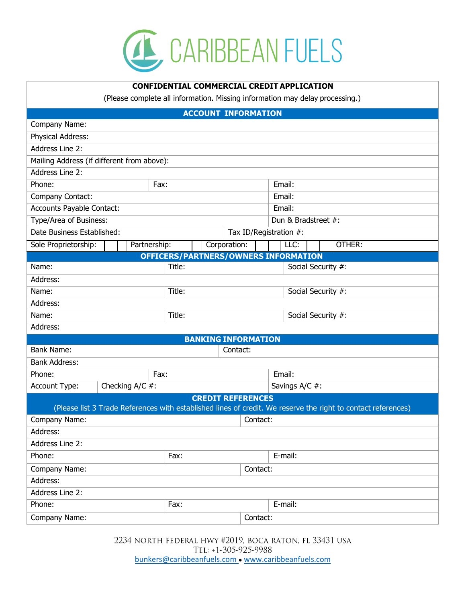

## **CONFIDENTIAL COMMERCIAL CREDIT APPLICATION**

(Please complete all information. Missing information may delay processing.)

| <b>ACCOUNT INFORMATION</b>                                                                                    |                              |          |                     |  |  |  |
|---------------------------------------------------------------------------------------------------------------|------------------------------|----------|---------------------|--|--|--|
| Company Name:                                                                                                 |                              |          |                     |  |  |  |
| Physical Address:                                                                                             |                              |          |                     |  |  |  |
| Address Line 2:                                                                                               |                              |          |                     |  |  |  |
| Mailing Address (if different from above):                                                                    |                              |          |                     |  |  |  |
| Address Line 2:                                                                                               |                              |          |                     |  |  |  |
| Phone:                                                                                                        | Fax:                         |          | Email:              |  |  |  |
| Company Contact:                                                                                              |                              |          | Email:              |  |  |  |
| Accounts Payable Contact:                                                                                     |                              |          | Email:              |  |  |  |
| Type/Area of Business:                                                                                        |                              |          | Dun & Bradstreet #: |  |  |  |
| Date Business Established:<br>Tax ID/Registration #:                                                          |                              |          |                     |  |  |  |
| Sole Proprietorship:                                                                                          | Corporation:<br>Partnership: |          | OTHER:<br>LLC:      |  |  |  |
| OFFICERS/PARTNERS/OWNERS INFORMATION                                                                          |                              |          |                     |  |  |  |
| Name:                                                                                                         | Title:                       |          | Social Security #:  |  |  |  |
| Address:                                                                                                      |                              |          |                     |  |  |  |
| Name:                                                                                                         | Title:                       |          | Social Security #:  |  |  |  |
| Address:                                                                                                      |                              |          |                     |  |  |  |
| Name:                                                                                                         | Title:                       |          | Social Security #:  |  |  |  |
| Address:                                                                                                      |                              |          |                     |  |  |  |
|                                                                                                               | <b>BANKING INFORMATION</b>   |          |                     |  |  |  |
| <b>Bank Name:</b>                                                                                             |                              | Contact: |                     |  |  |  |
| <b>Bank Address:</b>                                                                                          |                              |          |                     |  |  |  |
| Phone:                                                                                                        | Fax:                         |          | Email:              |  |  |  |
| Checking $A/C$ #:<br>Account Type:                                                                            |                              |          | Savings A/C #:      |  |  |  |
| <b>CREDIT REFERENCES</b>                                                                                      |                              |          |                     |  |  |  |
| (Please list 3 Trade References with established lines of credit. We reserve the right to contact references) |                              |          |                     |  |  |  |
| Company Name:<br>Contact:                                                                                     |                              |          |                     |  |  |  |
| Address:                                                                                                      |                              |          |                     |  |  |  |
| Address Line 2:                                                                                               |                              |          |                     |  |  |  |
| Phone:                                                                                                        | Fax:                         |          | E-mail:             |  |  |  |
| Company Name:<br>Contact:                                                                                     |                              |          |                     |  |  |  |
| Address:                                                                                                      |                              |          |                     |  |  |  |
| Address Line 2:                                                                                               |                              |          |                     |  |  |  |
| Phone:                                                                                                        | Fax:                         |          | E-mail:             |  |  |  |
| Company Name:<br>Contact:                                                                                     |                              |          |                     |  |  |  |

2234 NORTH FEDERAL HWY #2019, BOCA RATON, FL 33431 USA TEL: +1-305-925-9988 [bunkers@caribbeanfuels.com](mailto:bunkers@caribbeanfuels.com) ● [www.caribbeanfuels.com](http://www.caribbeanfuels.com/)